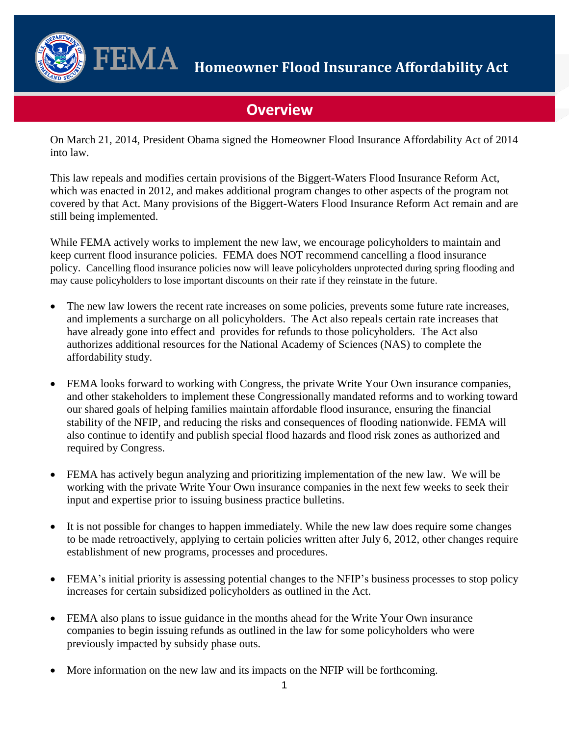

 $\mathbf{FEMA} \quad$  Homeowner Flood Insurance Affordability Act

# **Overview**

On March 21, 2014, President Obama signed the Homeowner Flood Insurance Affordability Act of 2014 into law.

This law repeals and modifies certain provisions of the Biggert-Waters Flood Insurance Reform Act, which was enacted in 2012, and makes additional program changes to other aspects of the program not covered by that Act. Many provisions of the Biggert-Waters Flood Insurance Reform Act remain and are still being implemented.

 While FEMA actively works to implement the new law, we encourage policyholders to maintain and policy. Cancelling flood insurance policies now will leave policyholders unprotected during spring flooding and may cause policyholders to lose important discounts on their rate if they reinstate in the future. keep current flood insurance policies. FEMA does NOT recommend cancelling a flood insurance

- have already gone into effect and provides for refunds to those policyholders. The Act also The new law lowers the recent rate increases on some policies, prevents some future rate increases, and implements a surcharge on all policyholders. The Act also repeals certain rate increases that authorizes additional resources for the National Academy of Sciences (NAS) to complete the affordability study.
- FEMA looks forward to working with Congress, the private Write Your Own insurance companies, and other stakeholders to implement these Congressionally mandated reforms and to working toward our shared goals of helping families maintain affordable flood insurance, ensuring the financial stability of the NFIP, and reducing the risks and consequences of flooding nationwide. FEMA will also continue to identify and publish special flood hazards and flood risk zones as authorized and required by Congress.
- FEMA has actively begun analyzing and prioritizing implementation of the new law. We will be working with the private Write Your Own insurance companies in the next few weeks to seek their input and expertise prior to issuing business practice bulletins.
- It is not possible for changes to happen immediately. While the new law does require some changes to be made retroactively, applying to certain policies written after July 6, 2012, other changes require establishment of new programs, processes and procedures.
- FEMA's initial priority is assessing potential changes to the NFIP's business processes to stop policy increases for certain subsidized policyholders as outlined in the Act.
- FEMA also plans to issue guidance in the months ahead for the Write Your Own insurance companies to begin issuing refunds as outlined in the law for some policyholders who were previously impacted by subsidy phase outs.
- More information on the new law and its impacts on the NFIP will be forthcoming.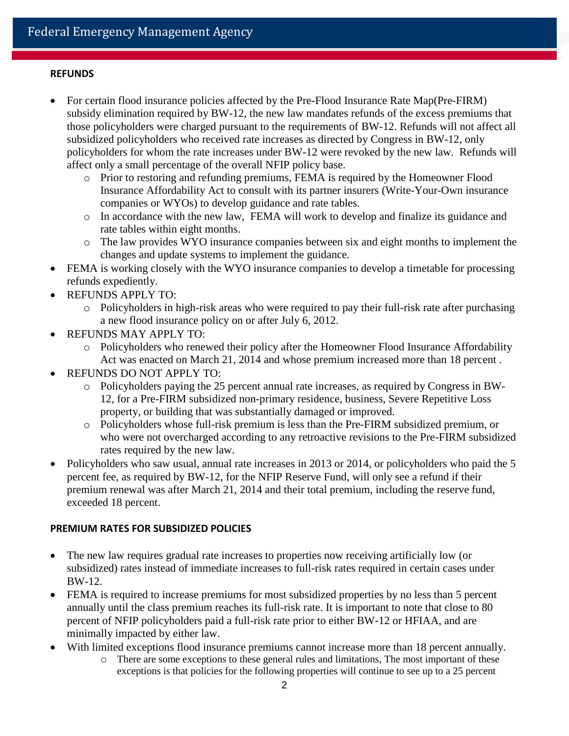## **REFUNDS**

- For certain flood insurance policies affected by the Pre-Flood Insurance Rate Map(Pre-FIRM) subsidy elimination required by BW-12, the new law mandates refunds of the excess premiums that those policyholders were charged pursuant to the requirements of BW-12. Refunds will not affect all subsidized policyholders who received rate increases as directed by Congress in BW-12, only policyholders for whom the rate increases under BW-12 were revoked by the new law. Refunds will affect only a small percentage of the overall NFIP policy base.
	- Insurance Affordability Act to consult with its partner insurers (Write-Your-Own insurance o Prior to restoring and refunding premiums, FEMA is required by the Homeowner Flood companies or WYOs) to develop guidance and rate tables.
	- o In accordance with the new law, FEMA will work to develop and finalize its guidance and rate tables within eight months.
	- $\circ$  The law provides WYO insurance companies between six and eight months to implement the changes and update systems to implement the guidance.
- FEMA is working closely with the WYO insurance companies to develop a timetable for processing refunds expediently.
- REFUNDS APPLY TO:
	- a new flood insurance policy on or after July 6, 2012.  $\circ$  Policyholders in high-risk areas who were required to pay their full-risk rate after purchasing
- REFUNDS MAY APPLY TO:
	- $\circ$  Policyholders who renewed their policy after the Homeowner Flood Insurance Affordability Act was enacted on March 21, 2014 and whose premium increased more than 18 percent .
- REFUNDS DO NOT APPLY TO:
	- 12, for a Pre-FIRM subsidized non-primary residence, business, Severe Repetitive Loss o Policyholders paying the 25 percent annual rate increases, as required by Congress in BWproperty, or building that was substantially damaged or improved.
	- o Policyholders whose full-risk premium is less than the Pre-FIRM subsidized premium, or who were not overcharged according to any retroactive revisions to the Pre-FIRM subsidized rates required by the new law.
- Policyholders who saw usual, annual rate increases in 2013 or 2014, or policyholders who paid the 5 percent fee, as required by BW-12, for the NFIP Reserve Fund, will only see a refund if their premium renewal was after March 21, 2014 and their total premium, including the reserve fund, exceeded 18 percent.

## **PREMIUM RATES FOR SUBSIDIZED POLICIES**

- The new law requires gradual rate increases to properties now receiving artificially low (or subsidized) rates instead of immediate increases to full-risk rates required in certain cases under BW-12.
- annually until the class premium reaches its full-risk rate. It is important to note that close to 80 minimally impacted by either law. FEMA is required to increase premiums for most subsidized properties by no less than 5 percent percent of NFIP policyholders paid a full-risk rate prior to either BW-12 or HFIAA, and are
- With limited exceptions flood insurance premiums cannot increase more than 18 percent annually.
	- o There are some exceptions to these general rules and limitations, The most important of these exceptions is that policies for the following properties will continue to see up to a 25 percent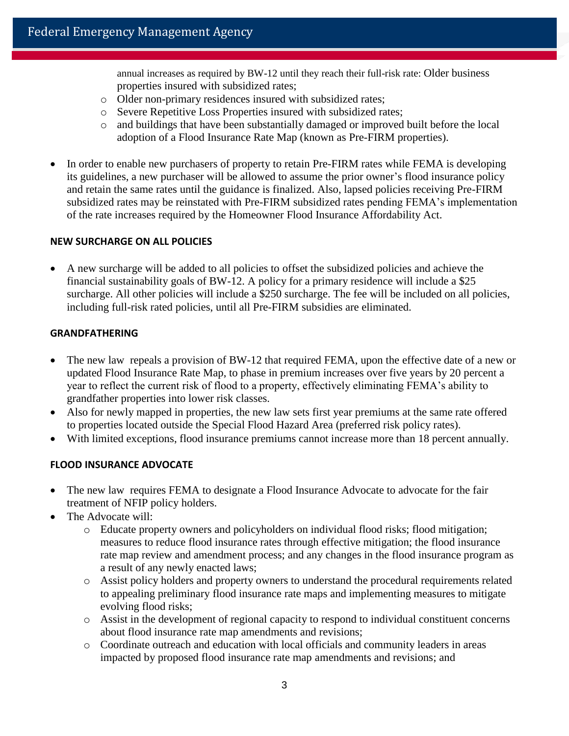properties insured with subsidized rates; annual increases as required by BW-12 until they reach their full-risk rate: Older business

- o Older non-primary residences insured with subsidized rates;
- o Severe Repetitive Loss Properties insured with subsidized rates;
- o and buildings that have been substantially damaged or improved built before the local adoption of a Flood Insurance Rate Map (known as Pre-FIRM properties).
- of the rate increases required by the Homeowner Flood Insurance Affordability Act. In order to enable new purchasers of property to retain Pre-FIRM rates while FEMA is developing its guidelines, a new purchaser will be allowed to assume the prior owner's flood insurance policy and retain the same rates until the guidance is finalized. Also, lapsed policies receiving Pre-FIRM subsidized rates may be reinstated with Pre-FIRM subsidized rates pending FEMA's implementation

## **NEW SURCHARGE ON ALL POLICIES**

 surcharge. All other policies will include a \$250 surcharge. The fee will be included on all policies, A new surcharge will be added to all policies to offset the subsidized policies and achieve the financial sustainability goals of BW-12. A policy for a primary residence will include a \$25 including full-risk rated policies, until all Pre-FIRM subsidies are eliminated.

#### **GRANDFATHERING**

- The new law repeals a provision of BW-12 that required FEMA, upon the effective date of a new or updated Flood Insurance Rate Map, to phase in premium increases over five years by 20 percent a year to reflect the current risk of flood to a property, effectively eliminating FEMA's ability to grandfather properties into lower risk classes.
- Also for newly mapped in properties, the new law sets first year premiums at the same rate offered to properties located outside the Special Flood Hazard Area (preferred risk policy rates).
- With limited exceptions, flood insurance premiums cannot increase more than 18 percent annually.

## **FLOOD INSURANCE ADVOCATE**

- The new law requires FEMA to designate a Flood Insurance Advocate to advocate for the fair treatment of NFIP policy holders.
- The Advocate will:
	- $\circ$  Educate property owners and policyholders on individual flood risks; flood mitigation; measures to reduce flood insurance rates through effective mitigation; the flood insurance rate map review and amendment process; and any changes in the flood insurance program as a result of any newly enacted laws;
	- o Assist policy holders and property owners to understand the procedural requirements related to appealing preliminary flood insurance rate maps and implementing measures to mitigate evolving flood risks;
	- o Assist in the development of regional capacity to respond to individual constituent concerns about flood insurance rate map amendments and revisions;
	- $\circ$  Coordinate outreach and education with local officials and community leaders in areas impacted by proposed flood insurance rate map amendments and revisions; and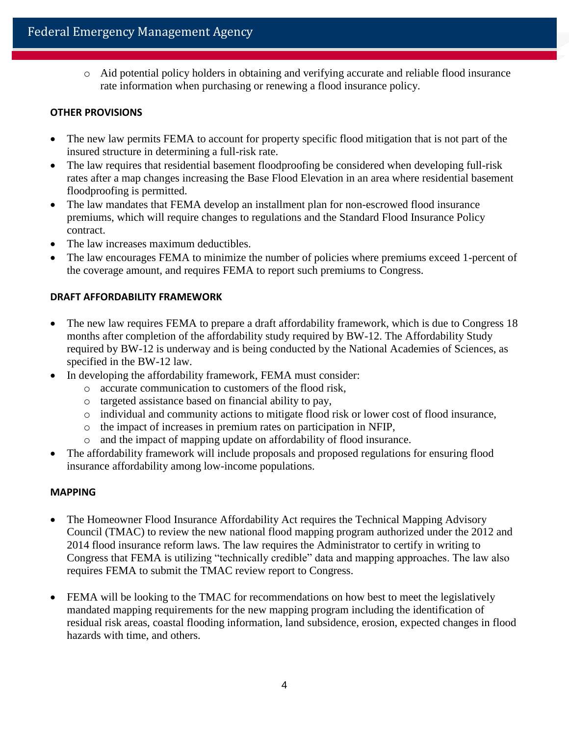o Aid potential policy holders in obtaining and verifying accurate and reliable flood insurance rate information when purchasing or renewing a flood insurance policy.

## **OTHER PROVISIONS**

- The new law permits FEMA to account for property specific flood mitigation that is not part of the insured structure in determining a full-risk rate.
- The law requires that residential basement floodproofing be considered when developing full-risk rates after a map changes increasing the Base Flood Elevation in an area where residential basement floodproofing is permitted.
- The law mandates that FEMA develop an installment plan for non-escrowed flood insurance premiums, which will require changes to regulations and the Standard Flood Insurance Policy contract.
- The law increases maximum deductibles.
- The law encourages FEMA to minimize the number of policies where premiums exceed 1-percent of the coverage amount, and requires FEMA to report such premiums to Congress.

## **DRAFT AFFORDABILITY FRAMEWORK**

- The new law requires FEMA to prepare a draft affordability framework, which is due to Congress 18 months after completion of the affordability study required by BW-12. The Affordability Study required by BW-12 is underway and is being conducted by the National Academies of Sciences, as specified in the BW-12 law.
- In developing the affordability framework, FEMA must consider:
	- o accurate communication to customers of the flood risk,
	- o targeted assistance based on financial ability to pay,
	- o individual and community actions to mitigate flood risk or lower cost of flood insurance,
	- o the impact of increases in premium rates on participation in NFIP,
	- o and the impact of mapping update on affordability of flood insurance.
- The affordability framework will include proposals and proposed regulations for ensuring flood insurance affordability among low-income populations.

### **MAPPING**

- The Homeowner Flood Insurance Affordability Act requires the Technical Mapping Advisory Council (TMAC) to review the new national flood mapping program authorized under the 2012 and 2014 flood insurance reform laws. The law requires the Administrator to certify in writing to Congress that FEMA is utilizing "technically credible" data and mapping approaches. The law also requires FEMA to submit the TMAC review report to Congress.
- FEMA will be looking to the TMAC for recommendations on how best to meet the legislatively mandated mapping requirements for the new mapping program including the identification of residual risk areas, coastal flooding information, land subsidence, erosion, expected changes in flood hazards with time, and others.